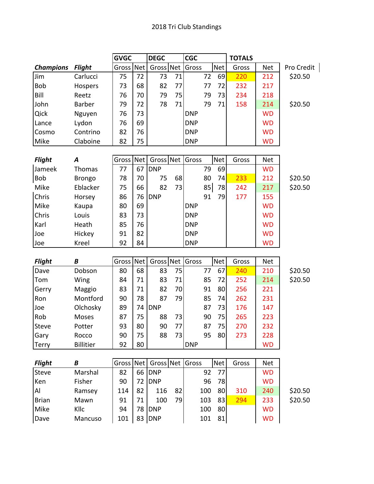|                  |                  | <b>GVGC</b> |            | <b>DEGC</b> |    | <b>CGC</b> |     |            | <b>TOTALS</b> |            |            |
|------------------|------------------|-------------|------------|-------------|----|------------|-----|------------|---------------|------------|------------|
| <b>Champions</b> | <b>Flight</b>    | Gross       | <b>Net</b> | Gross Net   |    | Gross      |     | <b>Net</b> | Gross         | <b>Net</b> | Pro Credit |
| Jim              | Carlucci         | 75          | 72         | 73          | 71 |            | 72  | 69         | 220           | 212        | \$20.50    |
| <b>Bob</b>       | Hospers          | 73          | 68         | 82          | 77 |            | 77  | 72         | 232           | 217        |            |
| Bill             | Reetz            | 76          | 70         | 79          | 75 |            | 79  | 73         | 234           | 218        |            |
| John             | Barber           | 79          | 72         | 78          | 71 |            | 79  | 71         | 158           | 214        | \$20.50    |
| Qick             | Nguyen           | 76          | 73         |             |    | <b>DNP</b> |     |            |               | <b>WD</b>  |            |
| Lance            | Lydon            | 76          | 69         |             |    | <b>DNP</b> |     |            |               | <b>WD</b>  |            |
| Cosmo            | Contrino         | 82          | 76         |             |    | <b>DNP</b> |     |            |               | <b>WD</b>  |            |
| Mike             | Claboine         | 82          | 75         |             |    | <b>DNP</b> |     |            |               | <b>WD</b>  |            |
|                  |                  |             |            |             |    |            |     |            |               |            |            |
| <b>Flight</b>    | A                | Gross       | Net        | Gross Net   |    | Gross      |     | <b>Net</b> | Gross         | <b>Net</b> |            |
| Jameek           | Thomas           | 77          | 67         | <b>DNP</b>  |    |            | 79  | 69         |               | <b>WD</b>  |            |
| <b>Bob</b>       | <b>Brongo</b>    | 78          | 70         | 75          | 68 |            | 80  | 74         | 233           | 212        | \$20.50    |
| Mike             | Eblacker         | 75          | 66         | 82          | 73 |            | 85  | 78         | 242           | 217        | \$20.50    |
| Chris            | Horsey           | 86          | 76         | <b>DNP</b>  |    |            | 91  | 79         | 177           | 155        |            |
| Mike             | Kaupa            | 80          | 69         |             |    | <b>DNP</b> |     |            |               | <b>WD</b>  |            |
| Chris            | Louis            | 83          | 73         |             |    | <b>DNP</b> |     |            |               | <b>WD</b>  |            |
| Karl             | Heath            | 85          | 76         |             |    | <b>DNP</b> |     |            |               | <b>WD</b>  |            |
| Joe              | Hickey           | 91          | 82         |             |    | <b>DNP</b> |     |            |               | <b>WD</b>  |            |
| Joe              | Kreel            | 92          | 84         |             |    | <b>DNP</b> |     |            |               | <b>WD</b>  |            |
|                  |                  |             |            |             |    |            |     |            |               |            |            |
| <b>Flight</b>    | B                | Gross       | <b>Net</b> | Gross Net   |    | Gross      |     | <b>Net</b> | Gross         | <b>Net</b> |            |
| Dave             | Dobson           | 80          | 68         | 83          | 75 |            | 77  | 67         | 240           | 210        | \$20.50    |
| Tom              | Wing             | 84          | 71         | 83          | 71 |            | 85  | 72         | 252           | 214        | \$20.50    |
| Gerry            | Maggio           | 83          | 71         | 82          | 70 |            | 91  | 80         | 256           | 221        |            |
| Ron              | Montford         | 90          | 78         | 87          | 79 |            | 85  | 74         | 262           | 231        |            |
| Joe              | Olchosky         | 89          | 74         | <b>DNP</b>  |    |            | 87  | 73         | 176           | 147        |            |
| Rob              | Moses            | 87          | 75         | 88          | 73 |            | 90  | 75         | 265           | 223        |            |
| <b>Steve</b>     | Potter           | 93          | 80         | 90          | 77 |            | 87  | 75         | 270           | 232        |            |
| Gary             | Rocco            | 90          | 75         | 88          | 73 |            | 95  | 80         | 273           | 228        |            |
| Terry            | <b>Billitier</b> | 92          | 80         |             |    | <b>DNP</b> |     |            |               | <b>WD</b>  |            |
|                  |                  |             |            |             |    |            |     |            |               |            |            |
| <b>Flight</b>    | B                | Gross       | Net        | Gross Net   |    | Gross      |     | Net        | Gross         | <b>Net</b> |            |
| Steve            | Marshal          | 82          |            | 66 DNP      |    |            | 92  | 77         |               | <b>WD</b>  |            |
| Ken              | Fisher           | 90          | 72         | <b>DNP</b>  |    |            | 96  | 78         |               | <b>WD</b>  |            |
| Al               | Ramsey           | 114         | 82         | 116         | 82 |            | 100 | 80         | 310           | 240        | \$20.50    |
| <b>Brian</b>     | Mawn             | 91          | 71         | 100         | 79 |            | 103 | 83         | 294           | 233        | \$20.50    |
| Mike             | Kllc             | 94          |            | 78 DNP      |    |            | 100 | 80         |               | <b>WD</b>  |            |
| Dave             | Mancuso          | 101         |            | 83 DNP      |    |            | 101 | 81         |               | <b>WD</b>  |            |